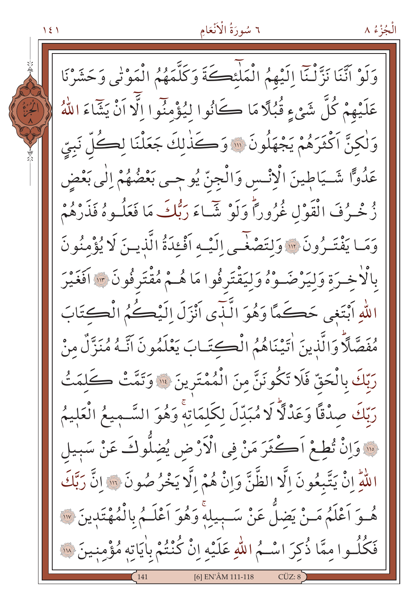الْجُزْءُ ٨

وَلَوْ اَنَّنَا نَزَّلْنَا إِلَيْهِمُ الْمَلَّئِكَةَ وَكَلَّمَهُمُ الْمَوْتِي وَحَشَرْنَا عَلَيْهِمْ كُلَّ شَيْءٍ قُبُلًا مَا كَانُوا لِيُؤْمِنُوا اِلَّا اَنْ يَشَاءَ اللَّهُ وَلْكِنَّ اَكْثَرَهُمْ يَجْهَلُونَ ۞ وَكَذٰلِكَ جَعَلْنَا لِكُلِّ نَبِيِّ عَدُوًّا شَـيَاطِينَ الْإِنْـسِ وَالْجِنِّ يُوجِـي بَعْضُهُمْ إِلَٰى بَعْضِ زُخْـرُفَ الْقَوْلِ غُرُوراً وَلَوْ شَـاءَ رَبُّكَ مَا فَعَلُـوهُ فَذَرْهُمْ وَمَا يَفْتَـرُونَ \*\*\* وَلِتَصْغَـى اِلَيْـه اَفْعَدَةُ الَّذيـرَ لَا يُؤْمِنُو نَ بِالْاْخِيرَةِ وَلْيَرْضَـوْهُ وَلْيَقْتَرِفُوا مَا هُـمْ مُقْتَرِفُونَ ۞ أَفَغَيْرَ اللَّهِ أَبْتَغِي حَكَمَّا وَهُوَ الَّنَّدِي أَنْزَلَ إِلَيْكُمُ الْكِتَابَ مُفَصَّلًا وَالَّذِينَ اٰتَيْنَاهُمُ الْكِتَـابَ يَعْلَمُونَ اَنَّـهُ مُنَزِّلٌ مِنْ رَبّكَ بِالْحَقّ فَلَا تَكُونَنَّ مِنَ الْمُمْتَرِينَ ۚ ۚ وَتَمَّتْ كَلِمَتُ رَبّكَ صِدْقًا وَعَدْلًا لَا مُبَدّلَ لكَلمَاتِهِ وَهُوَ السَّمِيعُ الْعَلِيمُ · وَإِنْ تُطِعْ اَكْثَرَ مَنْ فِي الْأَرْضِ يُضلُّوكَ عَنْ سَبِيل اللَّهِ إِنْ يَتَّبِعُونَ إِلَّا الظَّنَّ وَإِنْ هُمْ إِلَّا يَخْرُصُونَ ۚ ۚ إِلَّا رَبَّكَ هُوَ اَعْلَمُ مَنْ يَضلَّ عَنْ سَبِيلِهِ وَهُوَ اَعْلَـمُ بِالْمُهْتَدِينَ ۞ فَكُلُوا مِمَّا ذُكِرَ اسْـمُ اللّهِ عَلَيْهِ إِنْ كُنْتُمْ بِاٰيَاتِهِ مُؤْمِنِينَ ۞ 161 EN'ÂM 111-118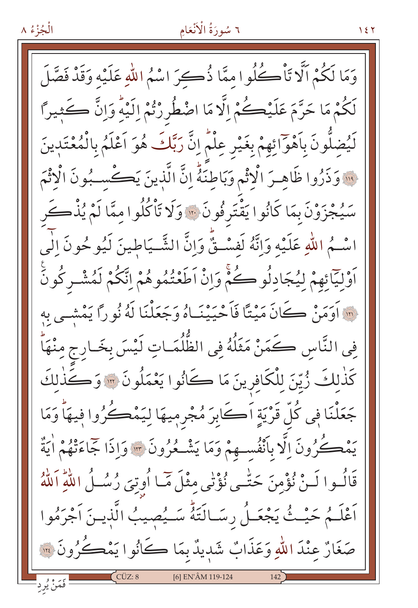$157$ 

الْجُزْءُ ٨

وَمَا لَكُمْ اَلَّا تَأْكُلُوا مِمَّا ذُكِرَ اسْمُ اللّهِ عَلَيْهِ وَقَدْ فَصَّلَ لَكُمْ مَا حَرَّمَ عَلَيْكُمْ الَّا مَا اضْطُرِرْتُمْ اِلَيْهِ وَإِنَّ كَثِيراً لَيُضِلُّونَ بِٱهْوَائِهِمْ بِغَيْرِ عِلْمٍ إِنَّ رَبَّكَ هُوَ اَعْلَمُ بِالْمُعْتَدِينَ · وَذَرُوا ظَاهِـرَ الْإِثْمِ وَبَاطِنَةٌ إِنَّ الَّذِينَ يَكْسِبُونَ الْاثْمَ سَيُجْزَوْنَ بِمَا كَانُوا يَقْتَرِفُونَ ۞ وَلَا تَأْكُلُوا مِمَّا لَمْ يُذْكَرِ اسْـمُ اللّٰهِ عَلَيْهِ وَإِنَّهُ لَفسْـقٌّ وَانَّ الشَّـيَاطينَ لَيُوحُونَ الٰي ٱوْلِيَّائِهِمْ لِيُجَادِلُوكُمْ وَإِنْ اَطَعْتُمُوهُمْ اِتَّكُمْ لَمُشْـرِكُونَ أَنَّهُ أَوَمَنْ كَانَ مَيْتًا فَأَحْيَيْنَـاهُ وَجَعَلْنَا لَهُ نُورًا يَمْشِـى بِهِ في النَّاس كَمَنْ مَثَلُهُ فِي الظُّلُمَـاتِ لَيْسَ بِخَـارِجِ مِنْهَا كَذٰلِكَ زُيِّنَ لِلْكَافِرِينَ مَا كَانُوا يَعْمَلُونَ ۞ وَكَذٰلِكَ جَعَلْنَا فِي كُلّْ قَرْيَةٍ اَكَابِرَ مُجْرِمِيهَا لِيَمْكُرُوا فِيهَا وَمَا يَمْڪُرُونَ اِلَّا بِأَنْفُسِهِمْ وَمَا يَشْـعُرُونَ ۞ وَإِذَا جَمَاءَتْهُمْ اٰيَةٌ قَالُـوا لَـنْ نُؤْمِنَ حَتّْـى نُؤْنَى مِثْلَ مَّـا أُوتِىَ رُسُــلُ اللّٰهِ اَللّٰهُ اَعْلَـمُ حَيْـثُ يَجْعَـلُ رِسَـالَتَهُّ سَـيُصيبُ الَّذِيـنَ اَجْرَمُوا صَغَارٌ عِنْدَ اللّٰهِ وَعَذَابٌ شَدِيدٌ بِمَا كَانُوا يَمْكُرُونَ ۚ ۚ [6] EN'ÂM 119-124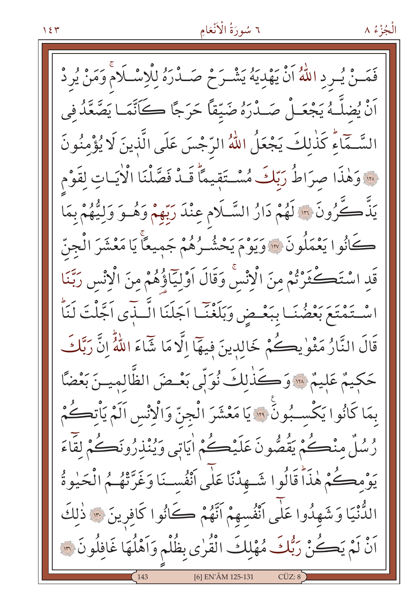فَمَـنْ يُـرِدِ اللَّهُ أَنْ يَهْدِيَهُ يَشْـرَحْ صَــدْرَهُ لِلْإِسْـلَامْ وَمَنْ يُرِدْ أَنْ يُضلَّــهُ يَجْعَــلْ صَــدْرَهُ ضَيِّقاً حَرَجًا كَــَأَنَّمَــا يَصَّعَّدُ فِي السَّـمَّاءِ كَذٰلِكَ يَجْعَلُ اللَّهُ الرَّجْسَ عَلَى الَّذِينَ لَا يُؤْمِنُونَ فِينَ وَهٰذَا صِرَاطُ رَبِّكَ مُسْتَقِيمًا قَبْدْ فَصَّلْنَا الْإِيَاتِ لِقَوْمِ يَذَّكَّرُونَ ۞ لَهُمْ دَارُ السَّـلَامِ عِنْدَ رَبِّهِمْ وَهُـوَ وَلِيُّهُمْ بِمَا كَانُوا يَعْمَلُونَ ۞ وَيَوْمَ يَحْشُـرُهُمْ جَمِيعًاْ يَا مَعْشَرَ الْجنّ قَدِ اسْتَكْثَرْتُمْ مِنَ الْإِنْسَ وَقَالَ اَوْلِيَاؤُهُمْ مِنَ الْإِنْسِ رَبَّنَا اسْتَمْتَعَ بَعْضُنَـا بِبَعْـضِ وَبَلَغْنَـا اَجَلَنَا الَّـذَى اَجَّلْتَ لَنَاْ قَالَ النَّارُ مَثْوٰيڪُمْ خَالِدِينَ فِيهَآالَّا مَا شَاءَ اللَّهُّ إِنَّ رَبَّكَ حَكيمٌ عَليمٌ « وَكَذٰلكَ نُوَلِّي بَعْضَ الظَّالِمِينَ بَعْضًا بمَا كَانُوا يَكْسِبُونَ ۚ ۚ يَا مَعْشَرَ الْجِنِّ وَالْإِنْسِ اَلَمْ يَأْتِكُمْ رُسُلٌ منْڪُمْ يَقُصُّونَ عَلَيْڪُمْ اٰيَاتِي وَيُنْذِرُونَڪُمْ لَقَاءَ يَوْمِكُمْ هٰذَاً قَالُوا شَـهِدْنَا عَلَى أَنْفُسـنَا وَغَرَّتْهُـمُ الْحَيْوةُ الدُّنْيَا وَشَهِدُوا عَلَى أَنْفُسِهِمْ أَنَّهُمْ كَانُوا كَافِرِينَ ٣٠ ذٰلِكَ اَنْ لَمْ يَكُنْ رَبُّكَ مُهْلِكَ الْقُرٰى بِظُلْمٍ وَاَهْلُهَا غَافِلُونَ ۞ [6] EN'ÂM 125-131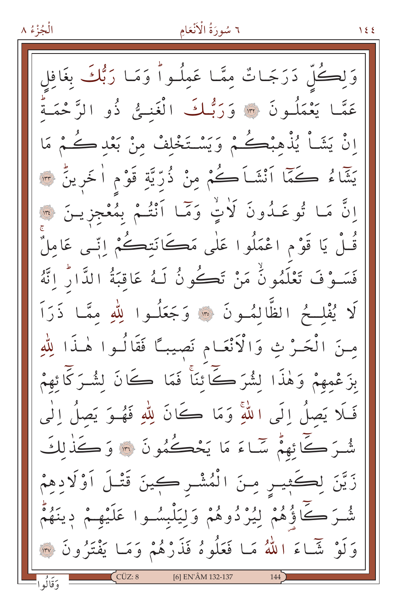الْجُزْءُ ٨

وَلِڪُلّ دَرَجَـاتٌ مِمَّـا عَمِلُـواً وَمَـا رَبُّكَ بغَافل عَمَّا يَعْمَلُونَ ۞ وَرَبُّكَ الْغَنـِيُّ ذُو الرَّحْمَـةُ اِنْ يَشَأْ يُذْهَبْكُمْ وَيَسْتَخْلِفْ مِنْ بَعْدِكُمْ مَا يَشَّاءُ كَمَّا ٱنْشَاَكُمْ مِنْ ذُرِّيَّةِ قَوْمِ اٰخَرِينِّ ۞ انَّ مَا تُوعَدُونَ لَأَتٍ وَمَّا أَنْتُمْ بِمُعْجِزِينَ ۞ قُـلْ يَا قَوْمِ اعْمَلُوا عَلَى مَكَانَتِكُمْ إِنِّـى عَامِلٌ فَسَـوْفَ تَعْلَمُونُّ مَنْ تَكُونُ لَـهُ عَاقِبَةُ الدَّارُ إِنَّهُ لَا يُفْلِحُ الظَّالِمُونَ ۞ وَجَعَلُوا لِلَّهِ ممَّا ذَرَاَ مِنَ الْحَـرْ ثِ وَالْأَنْعَـام نَصِيبًا فَقَالُـوا هٰـذَا لِلّٰهِ بزَعْمهِمْ وَهٰذَا لِشُرَكَّےا نِّنَا فَمَا كَانَ لِشُـرَكَّا ئِهِمْ فَلَا يَصِلُ إِلَى اللَّهِ وَمَا كَانَ لِلَّهِ فَهُوَ يَصِلُ إِلَٰى شُـرَ ڪَائِهِمْ سَّـاءَ مَا يَحْڪُمُونَ ۞ وَڪَذٰلكَ زَيَّنَ لِكَثِيسِ مِنَ الْمُشْـرِكِينَ قَتْـلَ اَوْلَادِهِمْ شْـرَ كَاؤُهُمْ لِيُرْدُوهُمْ وَلِيَلْبِسُـوا عَلَيْهِـمْ دِينَهُمْ وَلَوْ شَّاءَ اللّٰهُ مَا فَعَلُوهُ فَذَرْهُمْ وَمَا يَفْتَرُونَ ۞ وَقَالُوا  $CUZ:8$ [6] EN'ÂM 132-137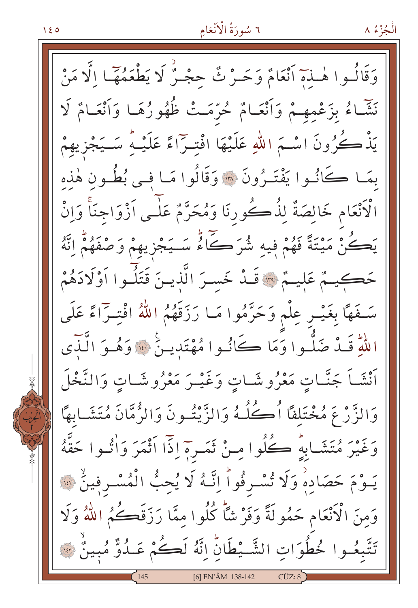وَقَالُـوا هٰـٰذَمٓ أَنْعَامٌ وَحَــرْ ثٌ حجْـرٌ لَا يَطْعَمُهٓـَـا الَّا مَنْ نَشَّاءُ بِزَعْمِهِمْ وَأَنْعَامٌ حُرَّمَتْ ظُهُورُهَا وَأَنْعَامٌ لَا يَذْكُرُونَ اسْـمَ اللّٰهِ عَلَيْهَا افْتِـرّاءً عَلَيْـهُ سَــيَجْزِيهِمْ بِمَـا كَانُـوا يَفْتَـرُونَ \* وَقَالُوا مَـا فـي بُطُـون هٰذه الْاَنْعَام خَالِصَةٌ لِذُكُورِنَا وَمُحَرَّمٌ عَلَـى اَزْوَاجنَاً وَإِنْ يَڪُنْ مَيْتَةً فَهُمْ فِيهِ شُرَكَاءٌ سَـيَجْزِيهِمْ وَصْفَهُمْ اِنَّهُ حَكِيمٌ عَلِيمٌ \* قَـدْ خَسـرَ الَّذيـنَ قَتَلُـوا اَوْلَادَهُمْ سَـفَهَا بِغَيْـرِ عِلْم وَحَرَّمُوا مَـا رَزَقَهُمُ اللّهُ افْتِـرَاءً عَلَى اللّٰهِ قَـٰدٌ ضَلُّـوا وَمَا كَانُـوا مُهْتَدِيـنٌ \* وَهُـوَ الَّذَّى أَنْشَـاً جَنَّـاتٍ مَعْرُوشَـاتٍ وَغَيْـرَ مَعْرُوشَـاتٍ وَالنَّخْلَ وَالزَّرْعَ مُخْتَلِفًا أُكْلُهُ وَالزَّيْتُونَ وَالزُّمَّانَ مُتَشَابِهًا وَغَيْرَ مُتَشَابِهِ ۚ كُلُوا مِنْ ثَمَـرِهِ إِذَا أَثْمَرَ وَأُتُـوا حَقَّهُ يَـوْمَ حَصَادِهْ وَلَا تُسْـرِفُواْ إِنَّـهُ لَا يُحِبُّ الْمُسْـرِفِينُ ۞ وَمِنَ الْأَنْعَامِ حَمُولَةً وَفَرْ شَأَّ كُلُوا مِمَّا رَزَقَكُمُ اللَّهُ وَلَا تَتَّبِعُوا خُطُوَاتِ الشَّيْطَانِّ إِنَّهُ لَكُمْ عَـدُوٌّ مُبِينٌ \*\* [6] EN'ÂM 138-142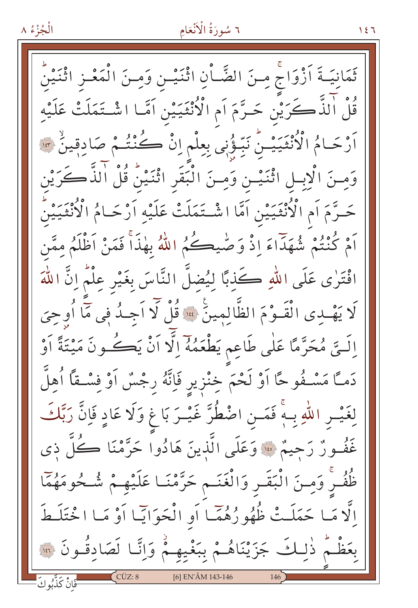ثَمَانِيَـةَ اَزْوَاجْ مِـنَ الضَّـاْنِ اثْنَيْـن وَمِـنَ الْمَعْـزِ اثْنَيْنُ قُلْ الَّذَّ كَرَيْن حَـرَّمَ اَم الْأُنْثَيَيْنِ اَمَّـا اشْـتَمَلَتْ عَلَيْهِ اَرْحَامُ الْأُنْثَيَيْنُ نَبِّؤُنِي بِعِلْمِ اِنْ كُنْتُـمْ صَادِقِينٌ \* وَمِنَ الْإِبِلِ اثْنَيْسِ وَمِنَ الْبَقَرِ اثْنَيْنُ قُلْ الذَّكَرَيْن حَـرَّمَ اَم الْأُنْثَيَيْنِ اَمَّا اشْـتَمَلَتْ عَلَيْهِ اَرْحَـامُ الْأُنْثَيَيْنُ اَمْ كُنْتُمْ شُهَدَاءَ إِذْ وَصّْيِكُمُ اللَّهُ بِهٰذَأَ فَمَنْ اَظْلَمُ مِمَّن افْتَرٰى عَلَى اللهِ كَذِبًا لِيُضِلَّ النَّاسَ بِغَيْرِ عِلْمٌ إِنَّ اللَّهَ لَا يَهْدِى الْقَـوْمَ الظَّالِمِينَ \* قُلْ لَا اَجِـدُ فِى مَا أُوحِىَ اِلَــتِّى مُحَرَّمًا عَلٰى طَاعِم يَطْعَمُهُ اِلَّا اَنْ يَكُــونَ مَيْتَةً اَوْ دَمـَّا مَسْـفُوحًا اَوْ لَحْمَ خِنْزِيرِ فَإِنَّهُ رِجْسٌ اَوْ فِسْـقًا اُهِلَّ لِغَيْسِ اللّٰهِ بِـهٖۚ فَمَـنِ اضْطُرَّ غَيْـرَ بَاغٍ وَلَا عَادٍ فَإِنَّ رَبَّكَ غَفْـورٌ رَحِيمٌ ۞ وَعَلَى الَّذينَ هَادُوا حَرَّمْنَا ڪُلُّ ذي ظُفُـرْ وَمِـنَ الْبَقَـرِ وَالْغَنَـمِ حَرَّمْنَـا عَلَيْهِـمْ شُـحُومَهُمَّا اِلَّا مَا حَمَلَتْ ظُهُورُهُمَّا أَوِ الْحَوَايَّا أَوْ مَا اخْتَلَطَ بِعَظْمٌ ذٰلِكَ جَزَيْنَاهُمْ بِبَغْيِهِمْ وَإِنَّا لَصَادِقُونَ ۞ [6] EN'ÂM 143-146 -<br>-فَانْ كَذَّبُوكَ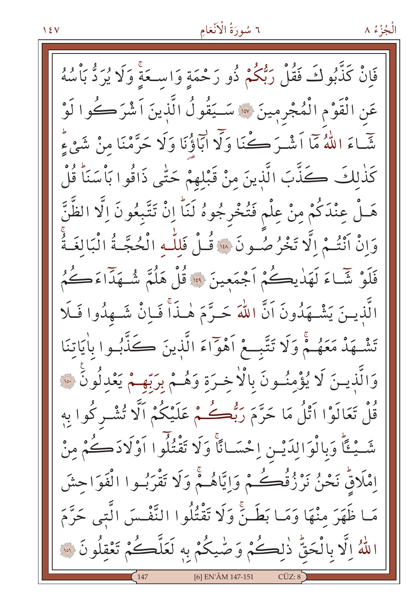فَإِنْ كَذَّبُوكَ فَقُلْ رَبُّكُمْ ذُو رَحْمَةٍ وَاسْـعَةٍ وَلَا يُرَدُّ بَأْسُهُ عَنِ الْقَوْمِ الْمُجْرِمِينَ ۞ سَـيَقُولُ الَّذِينَ اَشْرَكُوا لَوْ شَّاءَ اللَّهُ مَاۤ اَشْـرَ ڪُنَا وَلَآ ابَاؤُنَا وَلَا حَرَّمْنَا مِنْ شَيْءٍۗ كَذٰلكَ كَذَّبَ الَّذينَ مِنْ قَبْلِهِمْ حَتّٰى ذَاقُوا بَأْسَنَاً قُلْ هَـلْ عِنْدَكُمْ مِنْ عِلْم فَتُخْرِجُوهُ لَنَاً اِنْ تَتَّبِعُونَ اِلَّا الظَّنَّ وَإِنْ أَنْتُمْ إِلَّا تَخْرُصُونَ \* قُلْ فَللَّهِ الْحُجَّةُ الْبَالِغَةُ فَلَوْ شَّاءَ لَهَدٰيڪُمْ أَجْمَعِينَ ۚ وَ قُلْ هَلُمَّ شُـهَدَاءَكُمُ الَّذينَ يَشْهَدُونَ اَنَّ اللهَ حَـرَّمَ هٰـذَاْ فَـاِنْ شَـهِدُوا فَـلَا تَشْهَدْ مَعَهُمْ وَلَا تَتَّبِعْ أَهْوَاءَ الَّذِينَ كَنَّدَّبُوا بِاٰيَاتِنَا وَالَّذِينَ لَا يُؤْمِنُونَ بِالْاخِرَةِ وَهُـمْ بِرَبِّهِـمْ يَعْدِلُونَ ۞ قُلْ تَعَالَوْا اَتْلُ مَا حَرَّمَ رَبُّڪُمْ عَلَيْكُمْ اَلَّا تُشْرِكُوا بِهِ شَّيْئًا وَبِالْوَالِدَيْنِ اِحْسَانًا وَلَا تَقْتُلُوا اَوْلَادَكُمْ مِنْ إِمْلَاقٌ نَحْنُ نَرْزُقُكُمْ وَإِيَّاهُمْ وَلَا تَقْرَبُوا الْفَوَاحِشَ مَا ظَهَرَ مِنْهَا وَمَا بَطَنَّ وَلَا تَقْتُلُوا النَّفْسَ الَّتِي حَرَّمَ اللَّهُ اِلَّا بِالْحَقُّ ذٰلِكُمْ وَصّْيكُمْ بِهِ لَعَلَّكُمْ تَعْقِلُونَ ۞ [6] EN'ÂM 147-151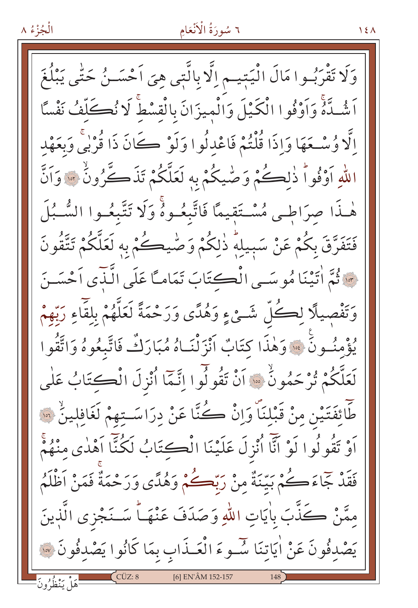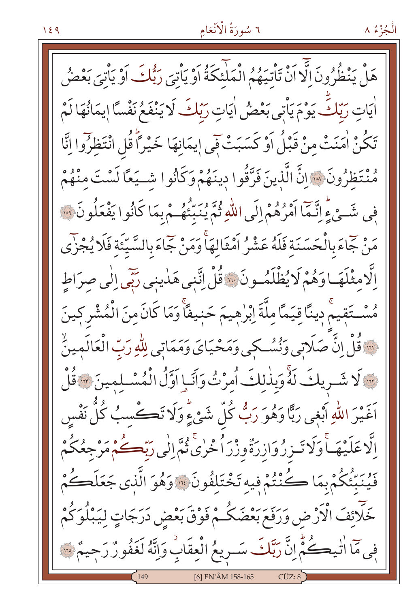هَلْ يَنْظُرُونَ الَّا اَنْ تَأْتِيَهُمُ الْمَلْئَكَةُ اَوْ يَأْتِيَ رَبُّكَ اَوْ يَأْتِيَ بَعْضُ اٰيَاتِ رَبّكَ يَوْمَ يَأْتِي بَعْضُ اٰيَاتِ رَبّكَ لَا يَنْفَعُ نَفْسًا إِيمَانُهَا لَمْ تَكُنْ اٰمَنَتْ مِنْ قَبْلُ اَوْ كَسَبَتْ فِي إِيمَانِهَا خَيْراً قُلِ انْتَظِرُوا إِنَّا مُنْتَظِرُونَ ۞ إِنَّ الَّذِينَ فَرَّقُوا دِينَهُمْ وَكَأْنُوا شَـيَعًا لَسْتَ منْهُمْ فِي شَيْءٍ إِنَّـمَا أَمْرُهُمْ إِلَى اللَّهِ ثُمَّ يُنَبِّئُهُ مْ بِمَا كَانُوا يَفْعَلُونَ ۞ مَنْ جَمَاءَ بِالْحَسَنَة فَلَهُ عَشْرُ اَمْثَالِهَا وَمَنْ جَمَاءَ بِالسَّيِّئَةِ فَلَا يُجْزَى الَّامِثْلَهَـاوَهُمْ لَايُظْلَمُـونَ ۚ وَّلْ اتَّنِي هَدٰينِي رَبِّي إِلَٰي صِرَاطِ مُسْـتَقِيمٌ دِينًا قِيَمًا مِلَّةَ اِبْرٰهِيمَ حَنِيفًا وَمَا كَانَ مِنَ الْمُشْرِكِينَ لَّهَ قُلْ إِنَّ صَلَاتِي وَنُسُكِي وَمَحْيَايَ وَمَمَاتِي لِلَّهِ رَبِّ الْعَالَمِينُ لَا شَـرِيكَ لَهُ وَبِذٰلِكَ أُمِرْتُ وَآنَـاٍ اوَّلُ الْمُسْـلِمِينَ \* قُلْ َنَّهُمَ اللّهِ أَبْغِي رَبًّا وَهُوَ رَبُّ كُلِّ شَيْءٍ وَلَا تَڪْسِبُ كُلُّ نَفْس ٳڷٳػڶؽ۟ۿؘٵ۠ۅؘڶٳؾٙٮۯۯؙۅؘٳۯڗؙةٞۅۯ۠ۯٲٛڂ۠ۯؽ۠۫؋ۥٕٞٳڶٚؠۯڹۜۨۘٮڲؙٛ؋ڡؘۯ۟جعُكُمْ فَيُنَبِّئُكُمْ بِمَا كُنْتُمْ فِيهِ تَخْتَلِفُونَ ۚ وَهُوَ الَّذِي جَعَلَكُمْ خَلَائِفَ الْأَرْضِ وَرَفَعَ بَعْضَكُمْ فَوْقَ بَعْضِ دَرَجَاتٍ لِيَبْلُوَكُمْ فِي مَا اٰتٰيڪُمُّ اِنَّ رَبَّكَ سَـرِيعُ الْعِقَابِ وَإِنَّهُ لَغَفُورٌ رَجِيمٌ ﴾ [6] EN'ÂM 158-165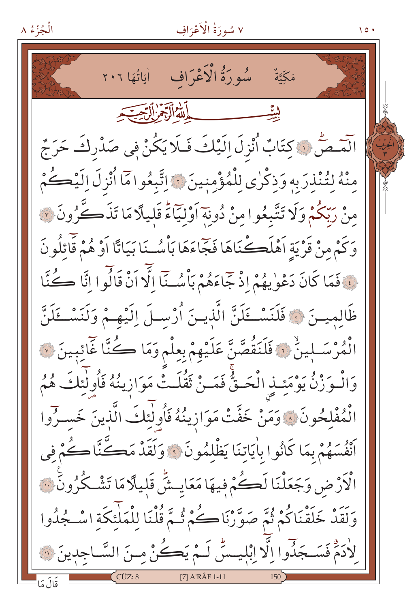الْجُزْءُ ٨

مَكِّيَّةٌ - الله الرَّجْرِ الرَّجَّةِ بيٽيسسسسس الْمَسْصُّ ۞ كِتَابٌ أُنْزِلَ إِلَيْكَ فَلَا يَكُنْ فِي صَدْرِكَ حَرَجٌ مِنْهُ لِتُنْذِرَبِهِ وَذِكْرِي لِلْمُؤْمِنِينَ ۞ اِتَّبِعُوا مَّا أُنْزِلَ اِلَيْكُمْ مِنْ رَبِّكُمْ وَلَا تَتَّبِعُوا مِنْ دُونِهَ أَوْلَيَّاءً قَليلًا مَا تَذَكَّرُونَ ؟ وَكَمْ مِنْ قَرْيَةِ أَهْلَڪْنَاهَا فَجَّاءَهَا بَأْسُـنَا بَيَاتًا أَوْ هُمْ قَائلُو نَ فَقَا كَانَ دَعْوٰيهُمْ إِذْ جَمَاءَهُمْ بَأْسُـنَّا الَّوْ أَنْ قَالُو ا أَنَّا كُنَّا ظَالمِيسَ فَالْمَسْكَلَنَّ الَّذِيسَ أُرْسِلَ إِلَيْهِمْ وَلَنَسْكَلَنَّ الْمُرْسَـلِينُ ۚ فَلَنَقُصَّنَّ عَلَيْهِمْ بِعِلْمِ وَمَا كُنَّا غَائِبِينَ ۞ وَالْـوَرْنُ يَوْمَئِـذِ الْحَـقُّ فَمَـنْ ثَقُلَـتُّ مَوَازِينُهُ فَأُولَٰئِكَ هُمُ الْمُفْلِحُونَ ﴾ وَمَنْ خَفَّتْ مَوَازِينُهُ فَأُولٰئِكَ الَّذِينَ خَسـرُوا أَنْفُسَهُمْ بِمَا كَانُوا بِاٰيَاتِنَا يَظْلِمُونَ ۚ وَلَقَدْ مَكَّتَّاكُمْ في الْأَرْضِ وَجَعَلْنَا لَكُمْ فِيهَا مَعَايِشٌّ قَلِيلًا مَا تَشْكُرُونَ ۚ لَ وَلَقَدْ خَلَقْنَاكُمْ ثُمَّ صَوَّرْنَاكُمْ ثُمَّ قُلْنَا لِلْمَلْئِكَةِ اسْجُدُوا لأدَةٌ فَسَجَدُوا اِلَّا اِبْلِيسَ لَـمْ يَكُنْ مِـنَ السَّـاجِدِينَ ۞

 $\sqrt{2}$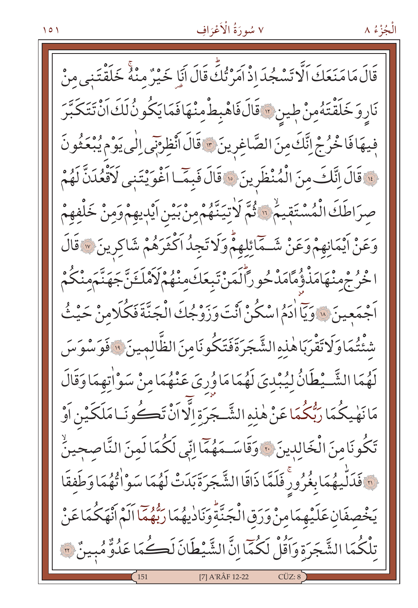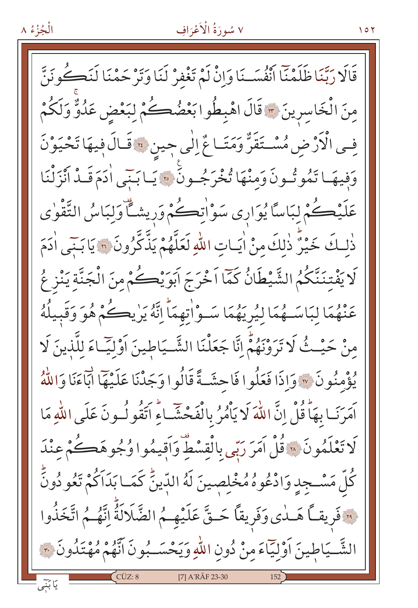الْجُزْءُ ٨

 $107$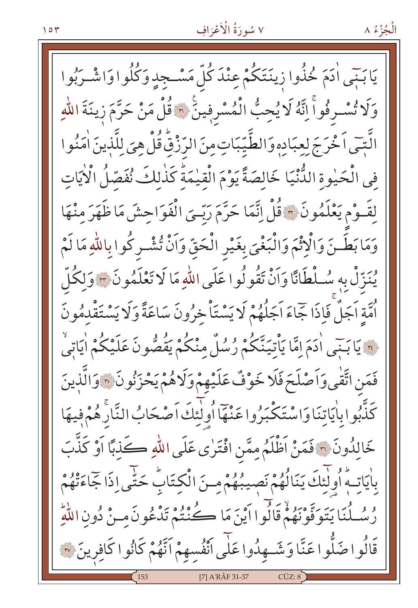يَابَنِي اٰدَمَ خُذُوا زِينَتَكُمْ عِنْدَ كُلِّ مَسْـجِدٍ وَكُلُوا وَاشْـرَبُوا وَلَا تُسْرِفُواً اِنَّهُ لَا يُحِبُّ الْمُسْرِفِينَ ۞ قُلْ مَنْ حَرَّمَ زِينَةَ اللّٰهِ الَّتِّي اَخْرَجَ لِعِبَادِهِ وَالطَّيِّبَاتِ مِنَ الرِّزْقُ قُلْ هِيَ لِلَّذِينَ اٰمَنُوا في الْحَيْوة الدُّّنْيَا خَالصَةً يَوْمَ الْقِيْمَةُ كَذٰلِكَ نُفَصِّلُ الْأَيَاتِ لِقَـوْمِ يَعْلَمُونَ \* قُلْ إِنَّمَا حَرَّمَ رَبِّـيَ الْفَوَاحِشَ مَا ظَهَرَ مِنْهَا وَمَا بَطَـنَ وَالْإِثْمَ وَالْبَغْيَ بِغَيْرِ الْحَقِّ وَاَنْ تُشْـرِكُوا بِاللّٰهِ مَا لَمْ يُنزِّلْ بِهِ سُلْطَانًا وَأَنْ تَقُولُوا عَلَى اللّٰهِ مَا لَا تَعْلَمُونَ ﴾ وَلكُلّ أُمَّةِ اَجَلَّ فَإِذَا جَّاءَ اَجَلُهُمْ لَا يَسْتَأْخِرُونَ سَاعَةً وَلَا يَسْتَقْدِمُونَ ة يَا بَنِّي ادَمَ إِمَّا يَأْتِيَنَّكُمْ رُسُلٌ منْكُمْ يَقُصُّونَ عَلَيْكُمْ اٰيَاتِيْ فَمَنِ اتَّفْيِ وَأَصْلَحَ فَلَا خَوْفٌ عَلَيْهِمْ وَلَاهُمْ يَحْزَنُونَ \* وَالَّذِينَ كَذّْبُوا بِاٰيَاتِنَا وَاسْتَكْبَرُوا عَنْهَا أُولٰئِكَ اَصْحَابُ النَّارْ هُمْ فِيهَا خَالِدُونَ ۞ فَمَنْ اَظْلَمُ مِمَّنِ افْتَرٰى عَلَى اللهِ كَذبًا اَوْ كَذَّبَ بِاٰيَاتِهِ ۖ أُولَٰئَكَ يَنَالُهُمْ نَصِيبُهُمْ مِنَ الْكِتَابِ حَتّٰى إِذَا جَاءَتْهُمْ رُسُـلُنَا يَتَوَفَّوْنَهُمْ قَالُوا أَيْنَ مَا كُنْتُمْ تَدْعُونَ مـنْ دُونِ اللَّهِ قَالُوا صَلُّوا عَنَّا وَشَــهِدُوا عَلٰى آنْفُسهِمْ اَنَّهُمْ كَانُوا كَافِرِينَ ۞ [7] A'RÂF 31-37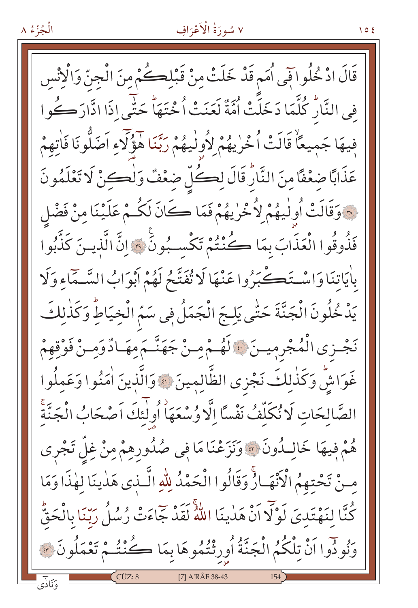

 $105$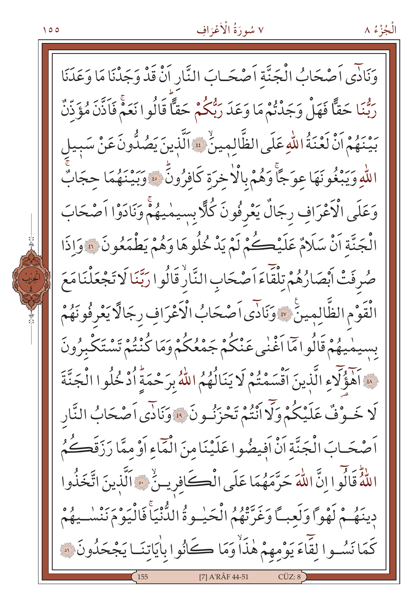الْجُزْءُ ٨

وَنَادًى اَصْحَابُ الْجَنَّة اَصْحَـابَ النَّارِ اَنْ قَدْ وَجَدْنَا مَا وَعَدَنَا رِّهُمَا حَقَّاً فَهَلْ وَجَدْنُمْ مَا وَعَدَ رَبُّكُمْ حَقًّا قَالُوا نَعَمْ فَاَذَّنَ مُؤَذِّنٌ بِّهِنْهُمْ اَنْ لَعْنَةُ اللّهِ عَلَى الظَّالِمِينِّ \* اَلَّذِينَ يَصُدُّونَ عَنْ سَبِيل اللَّهِ وَيَبْغُونَهَا عوَجًّا وَهُمْ بِالْأَخْرَةِ كَافِرُونَ ۚ ۚ وَبَيْنَهُمَا حجَابٌ وَعَلَى الْأَعْرَافِ رجَالٌ يَعْرِفُونَ كُلَّا بِسيمْيهُمْ وَنَادَوْا اَصْحَابَ الْجَنَّةِ أَنْ سَلَامٌ عَلَيْكُمْ لَمْ يَدْخُلُوهَا وَهُمْ يَطْمَعُونَ ۞ وَإِذَا صُرِفَتْ أَبْصَارُهُمْ تِلْقَاءَ اَصْحَابِ النَّارُ قَالُوا رَبَّنَا لَا تَجْعَلْنَا مَعَ الْقَوْمِ الظَّالِمِينَ \* وَنَادًى اَصْحَابُ الْأَعْرَافِ رِجَالًا يَعْرِفُونَهُمْ بِسِيمْيِهُمْ قَالُوامَا اَغْنٰى عَنْكُمْ جَمْعُكُمْ وَمَا كُنْتُمْ تَسْتَكْبِرُونَ لِهَ آَهَوَّلَاءِ الَّذِينَ آَقْسَمْتُمْ لَا يَنَالُهُمُ اللَّهُ بِرَحْمَةٍ أَدْخُلُوا الْجَنَّةَ لَا خَـوْفٌ عَلَيْكُمْ وَلَا أَنْتُمْ تَحْزَنُـونَ \* وَنَادَى اَصْحَابُ النَّار اَصْحَـابَ الْجَنَّةِ اَنْْ اَفِيضُوا عَلَيْنَا مِنَ الْمَاءِ اَوْ مِمَّا رَزَقَصُكُمُ اللَّهُ قَالُوا إِنَّ اللَّهَ حَرَّمَهُمَا عَلَى الْكَافِرِينُ ۚ آَلَّذِينَ اتَّخَذُوا دِينَهُمْ لَهْوًا وَلَعبتًا وَغَرَّتْهُمُ الْحَيْبِوةُ الدُّنْيَاْ فَالْيَوْمَ نَنْسُبِهُمْ كَمَا نَسُوا لِقَاءَ يَوْمِهِمْ هٰذَاْ وَمَا كَانُوا بِاٰيَاتِنَـا يَجْحَدُونَ ۞ [7] A'RÂF 44-51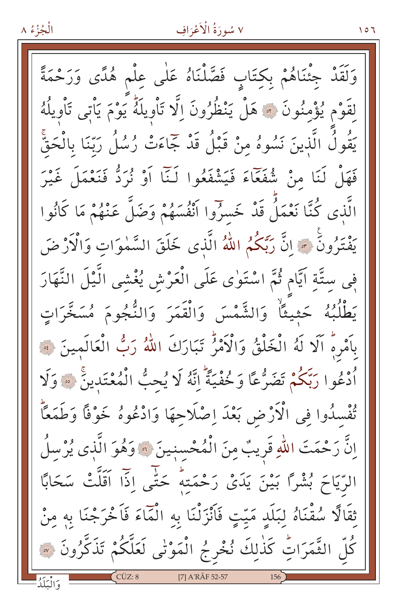الْجُزْءُ ۸

وَلَقَدْ جِئْنَاهُمْ بِكِتَابٍ فَصَّلْنَاهُ عَلٰى عِلْمٍ هُدًى وَرَحْمَةً لقَوْمِ يُؤْمِنُونَ ۞ هَلْ يَنْظُرُونَ إِلَّا تَأْوِيلَهُ يَوْمَ يَأْتِي تَأْوِيلُهُ يَقُولُ الَّذِينَ نَسُوهُ مِنْ قَبْلُ قَدْ جَمَاءَتْ رُسُلُ رَبِّنَا بِالْحَقَّ فَهَلْ لَنَا مِنْ شُفَعَاءَ فَيَشْفَعُوا لَـٰنَا أَوْ نُرِدُّ فَنَعْمَلَ غَيْرَ الَّذِي كُنَّا نَعْمَلُ قَدْ خَسرُوا أَنْفُسَهُمْ وَضَلَّ عَنْهُمْ مَا كَانُوا يَفْتَرُونَ \* إِنَّ رَبَّكُمُ اللَّهُ الَّذِى خَلَقَ السَّمٰوَاتِ وَالْآرْضَ فِي سِتَّةِ اَيَّام ثُمَّ اسْتَوٰى عَلَى الْعَرْشِ يُغْشِي الَّيْلَ النَّهَارَ يَطْلُبُهُ حَثيثًا وَالشَّمْسَ وَالْقَمَرَ وَالنُّجُومَ مُسَخَّرَاتٍ بِأَمْرِهِ أَلَا لَهُ الْخَلْقُ وَالْأَمْرُ تَبَارَكَ اللَّهُ رَبُّ الْعَالَمِينَ ﴾ أَدْعُوا رَبِّكُمْ تَضَرُّعًا وَخُفْيَةً إِنَّهُ لَا يُحِبُّ الْمُعْتَدِينَ \* وَلَا تُفْسِدُوا فِي الْأَرْضِ بَعْدَ اِصْلَاحِهَا وَادْعُوهُ خَوْفًا وَطَمَعًاْ اِنَّ رَحْمَتَ اللّٰهِ قَرِيبٌ مِنَ الْمُحْسنِينَ ۞ وَهُوَ الَّذِي يُرْسلُ الرِّيَاحَ بُشْرًا بَيْنَ يَدَىْ رَحْمَتِهُ حَتَّى اذَا اَقَلَّتْ سَحَابًا ثِقَالًا سُقْنَاهُ لِبَلَدٍ مَيّتٍ فَأَنْزَلْنَا بِهِ الْمَاءَ فَاَخْرَجْنَا بِهِ مِنْ كُلِّ الثَّمَرَاتِّ كَذٰلِكَ نُخْرِجُ الْمَوْتٰى لَعَلَّكُمْ تَذَكَّرُونَ ۞ [7] A'RÂF 52-57

۲ ۱ ۱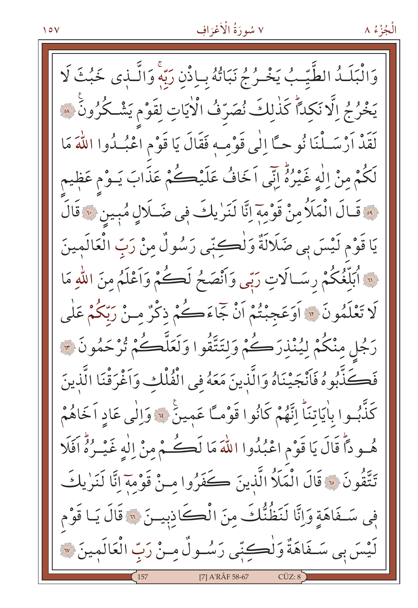وَالْبَلَـٰدُ الطَّيِّـبُ يَخْـرُجُ نَبَاتُهُ بِبِاذْنِ رَبَّهِۚ وَالَّـٰذِى خَبُثَ لَا يَخْرُجُ إِلَّا نَكِدًّا كَذٰلِكَ نُصَرّفُ الْأَيَاتِ لِقَوْمٍ يَشْكُرُونَ ۞ يَدَّهُ أَرْسَـلْنَا نُوحـًا إِلَٰى قَوْمـهِ فَقَالَ يَا قَوْمِ اعْبُـدُوا اللَّهَ مَا لَكُمْ مِنْ اِلٰهٍ غَيْرُهُ إِنِّي اَخَافُ عَلَيْكُمْ عَذَابَ يَـوْمٍ عَظٖيمٍ لِهِ قَالَ الْمَلَأُمِنْ قَوْمَةَ إِنَّا لَنَرٰيكَ فِي ضَـلَالٍ مُبِينٍ ﴾ قَالَ يَا قَوْمِ لَيْسَ بِي صَلَالَةٌ وَلْكِنِّي رَسُولٌ مِنْ رَبِّ الْعَالَمِينَ " أُبَلِّغُكُمْ رسَــالَاتِ رَبِّي وَأَنْصَـحُ لَڪُمْ وَأَعْلَمُ مِنَ اللَّهِ مَا لَا تَعْلَمُونَ ۞ أَوَعَجِبْتُمْ أَنْ جَمَاءَكُمْ ذِكْرٌ مِنْ رَبِّكُمْ عَلَى رَجُلٍ مِنْكُمْ لِيُنْذِرَكُمْ وَلِتَتَّقُوا وَلَعَلَّكُمْ تُرْحَمُونَ ﴾ فَكَذَّبُوهُ فَاَنْجَيْنَاهُ وَالَّذِينَ مَعَهُ فِي الْفُلْكِ وَاَغْرَقْنَا الَّذِينَ كَذّْبُوا بِاٰيَاتِنَاً اِنَّهُمْ كَانُوا قَوْمـًا عَمِينَ ۚ وَالِّي عَادِ اَخَاهُمْ هُـودًا قَالَ يَا قَوْمِ اعْبُدُوا اللَّهَ مَا لَكُـمُّ مِنْ اِلْهِ غَيْـرُهُ اَفَلَا تَتَّقُونَ ۞ قَالَ الْمَلَأُ الَّذِينَ كَفَرُوا مِنْ قَوْمِهَ إِنَّا لَنَرٰيكَ في سَـفَاهَةِ وَإِنَّا لَنَظُنُّكَ مِنَ الْكَاذِبِيـنَ ۞ قَالَ يَـا قَوْم لَيْسَ بِي سَــفَاهَةٌ وَلْكِتِّبِي رَسُــولٌ مِــنْ رَبِّ الْعَالَمِينَ ۞ [7] A'RÂF 58-67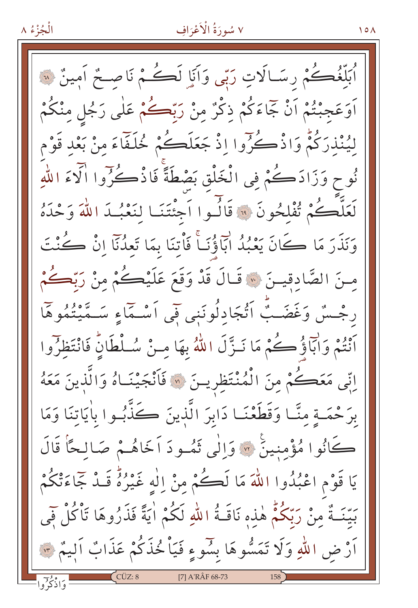الْجُزْءُ ٨

بَلِّغُڪُمْ رسَــالَاتِ رَبِّي وَاَنَاٍ لَڪُمْ نَاصــمٌ اَمِينٌ ۞ اَوَعَجِبْتُمْ اَنْ جَمَاءَكُمْ ذِكْرٌ مِنْ رَبِّڪُمْ عَلَى رَجُلٍ مِنْكُمْ لِيُنْذِرَكُمْ وَاذْكُرُوا إِذْ جَعَلَكُمْ خُلَفَاءَ مِنْ بَعْدِ قَوْمِ نُوحٍ وَزَادَكُمْ فِي الْخَلْقِ بَصْطَةً فَاذْكُرُوا الْآءَ اللّهِ لَعَلَّكُمْ تُفْلِحُونَ ۚ ۚ قَالُمُوا اَجْنَتَنَا لِنَعْبُدَ اللَّهَ وَحْدَهُ وَنَذَرَ مَا كَانَ يَعْبُدُ ابَاَؤُنَـاً فَأْتِنَا بِمَا تَعِدُنَا إِنْ كُنْتَ مِنَ الصَّادِقِينَ ۞ قَـالَ قَدْ وَقَعَ عَلَيْكُمْ مِنْ رَبِّكُمْ رجْسٌ وَغَضَبٌّ أَتْجَادِلُونَنِي فِي أَسْـمَاءِ سَـمَّيْتُمُوهَا أَنْتُمْ وَأَبَاؤُكُمْ مَا نَـزَّلَ اللَّهُ بِهَا مِـنْ سُـلْطَانٍّ فَانْتَظِرُوا اتِّي مَعَڪُمْ مِنَ الْمُنْتَظِرِينَ ۞ فَأَنْجَيْنَـاهُ وَالَّذِينَ مَعَهُ بِرَحْمَـةٍ مِنَّــا وَقَطَعْنَــا دَابِرَ الَّذِينَ ڪَذَّبُـوا بِاٰيَاتِنَا وَمَا كَانُوا مُؤْمِنِينَ ۞ وَإِلَٰى ثَمُودَ اَخَاهُمْ صَالحًأَ قَالَ يَا قَوْمِ اعْبُدُوا اللَّهَ مَا لَكُمْ مِنْ إِلٰهٍ غَيْرُهُ قَـدٌ جَمَاءَتْكُمْ بَيِّنَـةٌ مِنْ رَبِّكُمُّ هٰذِهِ نَاقَـةُ اللهِ لَكُمْ اٰيَةً فَذَرُوهَا تَأْكُلْ فَمِي اَرْض اللهِ وَلَا تَمَسُّوهَا بِسُوءٍ فَيَاْ خُذَكُمْ عَذَابٌ اَلِيمٌ ۞ [7] A'RÂF 68-73

 $\Delta$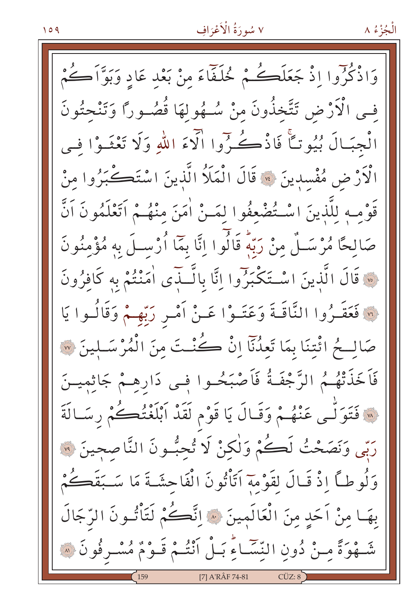وَاذْكُرُوا إِذْ جَعَلَكُمْ خُلَفَّاءَ مِنْ بَعْدِ عَادِ وَبَوَّأَكُمْ فـي الْأَرْضِ تَتَّخذُونَ منْ سُـهُولهَا قُصُـوراً وَتَنْحتُونَ الْجِبَالَ بُيُوتِكًّا فَاذْكُرُوا الْآءَ اللّهِ وَلَا تَعْثَـوْا فيهِ الْأَرْضِ مُفْسدِينَ ۞ قَالَ الْمَلَأُ الَّذينَ اسْتَكْبَرُوا مِنْ قَوْمِـهِ لِلَّذِينَ اسْـتُضْعِفُوا لِمَـنْ اٰمَنَ مِنْهُـمْ اَتَعْلَمُونَ اَنَّ صَالِحًا مُرْسَــلٌ مِنْ رَبِّهٖ قَالُوا اِنَّا بِمَا اُرْســلَ به مُؤْمِنُونَ . قَالَ الَّذِينَ اسْتَكْبَرُوا إِنَّا بِالَّـذَى أَمَنْتُمْ بِهِ كَافِرُونَ لَمَ فَعَقَـرُوا النَّاقَـةَ وَعَتَـوْا عَـنْ أَمْـرٍ رَبِّهِـمْ وَقَالُـوا يَا صَالــحُ ائْتنَا بِمَا تَعِدُنَآ إِنْ كُنْـتَ مِنَ الْمُرْسَـلِينَ ۞ فَاَخَذَتْهُمُ الرَّجْفَةُ فَاَصْبَحُـوا فِـي دَارِهِـمْ جَاثِمِيـنَ لَّهُ فَتَوَلَّـى عَنْهُـمْ وَقَـالَ يَا قَوْمِ لَقَدْ أَبْلَغْتُكُمْ رِسَـالَةَ ربِّي وَنَصَحْتُ لَكُمْ وَلٰكنْ لَا تُحِبُّونَ النَّاصحينَ ۞ وَلُوطاً إِذْ قَـالَ لقَوْمة اَتَأْتُونَ الْفَاحِشَـةَ مَا سَـبَقَطُمْ بِهَـا مِنْ اَحَدِ مِنَ الْعَالَمِينَ ۞ اِنَّكُمْ لَتَأْتُـونَ الرِّجَالَ شَّـهُوَةً مِـنْ دُونِ النِّسَّـاءِّ بَـلْ اَنْتُـمْ قَـوْمٌ مُسْـرِفُونَ ۞ [7] A'RÂF 74-81